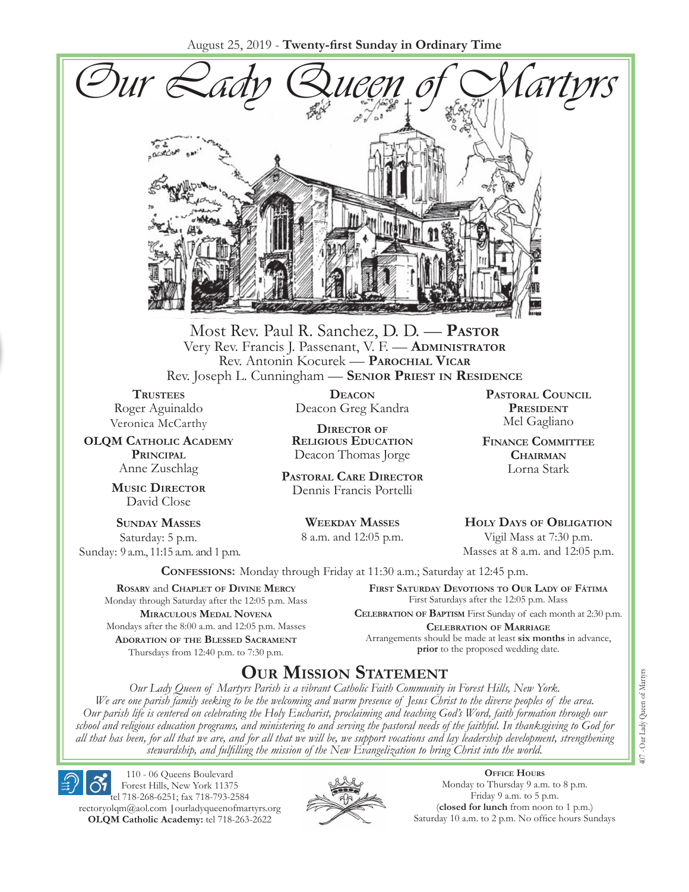August 25, 2019 - **Twenty-first Sunday in Ordinary Time**



Most Rev. Paul R. Sanchez, D. D. — **Pastor** Very Rev. Francis J. Passenant, V. F. — **Administrator** Rev. Antonin Kocurek — **Parochial Vicar** Rev. Joseph L. Cunningham — **Senior Priest in Residence**

**TRUSTEES** Roger Aguinaldo Veronica McCarthy

**OLQM Catholic Academy Principal** Anne Zuschlag

> **Music Director** David Close

**Sunday Masses** Saturday: 5 p.m. Sunday: 9 a.m., 11:15 a.m. and 1 p.m.

**Deacon** Deacon Greg Kandra

**Director of Religious Education** Deacon Thomas Jorge

**Pastoral Care Director** Dennis Francis Portelli

> **Weekday Masses** 8 a.m. and 12:05 p.m.

**Pastoral Council President** Mel Gagliano

**Finance Committee Chairman** Lorna Stark

**Holy Days of Obligation** Vigil Mass at 7:30 p.m.

Masses at 8 a.m. and 12:05 p.m.

**Confessions:** Monday through Friday at 11:30 a.m.; Saturday at 12:45 p.m.

**Rosary** and **Chaplet of Divine Mercy** Monday through Saturday after the 12:05 p.m. Mass **Miraculous Medal Novena** Mondays after the 8:00 a.m. and 12:05 p.m. Masses **Adoration of the Blessed Sacrament** Thursdays from 12:40 p.m. to 7:30 p.m.

**First Saturday Devotions to Our Lady of Fátima** First Saturdays after the 12:05 p.m. Mass

**Celebration of Baptism** First Sunday of each month at 2:30 p.m. **Celebration of Marriage** Arrangements should be made at least **six months** in advance, **prior** to the proposed wedding date.

# **Our Mission Statement**

*Our Lady Queen of Martyrs Parish is a vibrant Catholic Faith Community in Forest Hills, New York. We are one parish family seeking to be the welcoming and warm presence of Jesus Christ to the diverse peoples of the area. Our parish life is centered on celebrating the Holy Eucharist, proclaiming and teaching God's Word, faith formation through our school and religious education programs, and ministering to and serving the pastoral needs of the faithful. In thanksgiving to God for all that has been, for all that we are, and for all that we will be, we support vocations and lay leadership development, strengthening stewardship, and fulfilling the mission of the New Evangelization to bring Christ into the world.*

110 - 06 Queens Boulevard Forest Hills, New York 11375 tel 718-268-6251; fax 718-793-2584 [rectoryolqm@aol.com](mailto:rectoryolqm@aol.com) **|**[ourladyqueenofmartyrs.org](www.ourladyqueenofmartyrs.org)

**OLQM Catholic Academy:** tel 718-263-2622



**Office Hours** Monday to Thursday 9 a.m. to 8 p.m. Friday 9 a.m. to 5 p.m. (**closed for lunch** from noon to 1 p.m.) Saturday 10 a.m. to 2 p.m. No office hours Sundays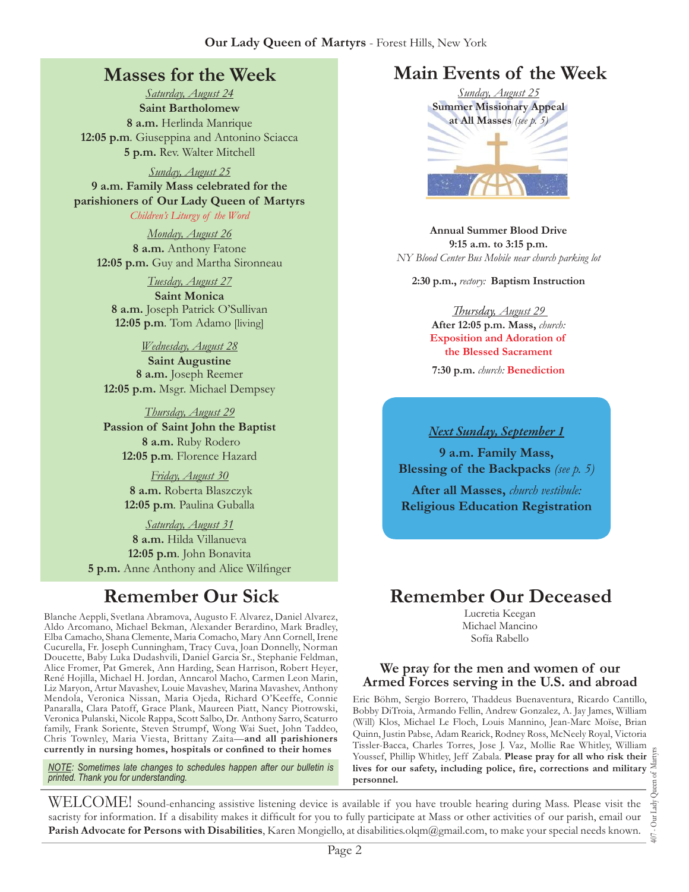## **Masses for the Week**

*Saturday, August 24* **Saint Bartholomew 8 a.m.** Herlinda Manrique **12:05 p.m***.* Giuseppina and Antonino Sciacca **5 p.m.** Rev. Walter Mitchell

*Sunday, August 25* **9 a.m. Family Mass celebrated for the parishioners of Our Lady Queen of Martyrs** *Children's Liturgy of the Word* 

*Monday, August 26* **8 a.m.** Anthony Fatone **12:05 p.m.** Guy and Martha Sironneau

*Tuesday, August 27* **Saint Monica 8 a.m.** Joseph Patrick O'Sullivan **12:05 p.m***.* Tom Adamo [living]

*Wednesday, August 28* **Saint Augustine 8 a.m.** Joseph Reemer **12:05 p.m.** Msgr. Michael Dempsey

*Thursday, August 29* **Passion of Saint John the Baptist 8 a.m.** Ruby Rodero **12:05 p.m***.* Florence Hazard

> *Friday, August 30*  **8 a.m.** Roberta Blaszczyk **12:05 p.m***.* Paulina Guballa

*Saturday, August 31* **8 a.m.** Hilda Villanueva **12:05 p.m***.* John Bonavita **5 p.m.** Anne Anthony and Alice Wilfinger

Blanche Aeppli, Svetlana Abramova, Augusto F. Alvarez, Daniel Alvarez, Aldo Arcomano, Michael Bekman, Alexander Berardino, Mark Bradley, Elba Camacho, Shana Clemente, Maria Comacho, Mary Ann Cornell, Irene Cucurella, Fr. Joseph Cunningham, Tracy Cuva, Joan Donnelly, Norman Doucette, Baby Luka Dudashvili, Daniel Garcia Sr., Stephanie Feldman, Alice Fromer, Pat Gmerek, Ann Harding, Sean Harrison, Robert Heyer, René Hojilla, Michael H. Jordan, Anncarol Macho, Carmen Leon Marin, Liz Maryon, Artur Mavashev, Louie Mavashev, Marina Mavashev, Anthony Mendola, Veronica Nissan, Maria Ojeda, Richard O'Keeffe, Connie Panaralla, Clara Patoff, Grace Plank, Maureen Piatt, Nancy Piotrowski, Veronica Pulanski, Nicole Rappa, Scott Salbo, Dr. Anthony Sarro, Scaturro family, Frank Soriente, Steven Strumpf, Wong Wai Suet, John Taddeo, Chris Townley, Maria Viesta, Brittany Zaita—**and all parishioners currently in nursing homes, hospitals or confined to their homes**

*NOTE: Sometimes late changes to schedules happen after our bulletin is printed. Thank you for understanding.*

# **Main Events of the Week**



**Annual Summer Blood Drive 9:15 a.m. to 3:15 p.m.** *NY Blood Center Bus Mobile near church parking lot*

**2:30 p.m.,** *rectory:* **Baptism Instruction**

*Thursday, August 29*  **After 12:05 p.m. Mass,** *church:*  **Exposition and Adoration of the Blessed Sacrament**

**7:30 p.m.** *church:* **Benediction** 

*Next Sunday, September 1*

**9 a.m. Family Mass, Blessing of the Backpacks** *(see p. 5)*

**After all Masses,** *church vestibule:* **Religious Education Registration**

# **Remember Our Sick Remember Our Deceased**

Lucretia Keegan Michael Mancino Sofía Rabello

#### **We pray for the men and women of our Armed Forces serving in the U.S. and abroad**

Eric Böhm, Sergio Borrero, Thaddeus Buenaventura, Ricardo Cantillo, Bobby DiTroia, Armando Fellin, Andrew Gonzalez, A. Jay James, William (Will) Klos, Michael Le Floch, Louis Mannino, Jean-Marc Moïse, Brian Quinn, Justin Pabse, Adam Rearick, Rodney Ross, McNeely Royal, Victoria Tissler-Bacca, Charles Torres, Jose J. Vaz, Mollie Rae Whitley, William Youssef, Phillip Whitley, Jeff Zabala. **Please pray for all who risk their lives for our safety, including police, fire, corrections and military personnel.**

407 - Our Lady Queen of Martyrs Our Lady  $+00$ 

WELCOME! Sound-enhancing assistive listening device is available if you have trouble hearing during Mass. Please visit the sacristy for information. If a disability makes it difficult for you to fully participate at Mass or other activities of our parish, email our **Parish Advocate for Persons with Disabilities**, Karen Mongiello, at [disabilities.olqm@gmail.com,](mailto:disabilities.olqm@gmail.com) to make your special needs known.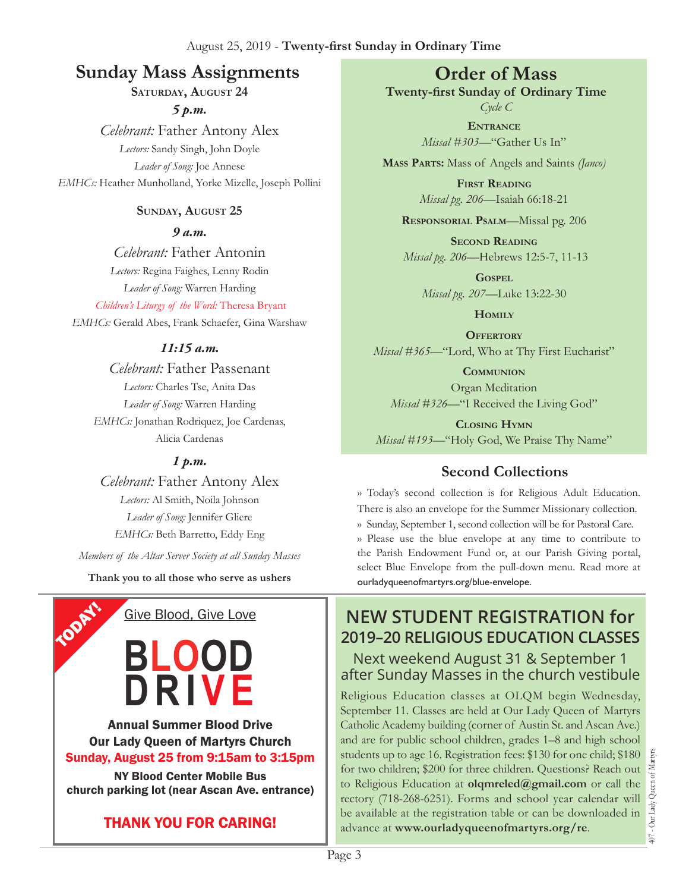# **Sunday Mass Assignments Order of Mass**

**Saturday, August 24**

*5 p.m.* 

*Celebrant:* Father Antony Alex *Lectors:* Sandy Singh, John Doyle *Leader of Song:* Joe Annese *EMHCs:* Heather Munholland, Yorke Mizelle, Joseph Pollini

#### **Sunday, August 25**

*9 a.m.* 

*Celebrant:* Father Antonin *Lectors:* Regina Faighes, Lenny Rodin *Leader of Song:* Warren Harding

*Children's Liturgy of the Word:* Theresa Bryant *EMHCs:* Gerald Abes, Frank Schaefer, Gina Warshaw

#### *11:15 a.m.*

*Celebrant:* Father Passenant *Lectors:* Charles Tse, Anita Das *Leader of Song:* Warren Harding *EMHCs:* Jonathan Rodriquez, Joe Cardenas, Alicia Cardenas

#### *1 p.m.*

*Celebrant:* Father Antony Alex *Lectors:* Al Smith, Noila Johnson *Leader of Song:* Jennifer Gliere *EMHCs:* Beth Barretto, Eddy Eng *Members of the Altar Server Society at all Sunday Masses*

**Thank you to all those who serve as ushers**

Give Blood, Give Love

**TODAY!** 

**Blood**

**Dr iv e**

Annual Summer Blood Drive Our Lady Queen of Martyrs Church Sunday, August 25 from 9:15am to 3:15pm NY Blood Center Mobile Bus church parking lot (near Ascan Ave. entrance)

**Twenty-first Sunday of Ordinary Time**

*Cycle C* **Entrance** *Missal #303—*"Gather Us In"

**Mass Parts:** Mass of Angels and Saints *(Janco)*

**First Reading** *Missal pg. 206—*Isaiah 66:18-21

**Responsorial Psalm**—Missal pg. 206

**Second Reading** *Missal pg. 206—*Hebrews 12:5-7, 11-13

**Gospel** *Missal pg. 207—*Luke 13:22-30

**Homily**

**OFFERTORY** *Missal* #365—"Lord, Who at Thy First Eucharist"

**Communion** Organ Meditation *Missal #326—*"I Received the Living God"

**Closing Hymn** *Missal #193*—"Holy God, We Praise Thy Name"

# **Second Collections**

›› Today's second collection is for Religious Adult Education. There is also an envelope for the Summer Missionary collection.

›› Sunday, September 1, second collection will be for Pastoral Care. ›› Please use the blue envelope at any time to contribute to the Parish Endowment Fund or, at our Parish Giving portal, select Blue Envelope from the pull-down menu. Read more at ourladyqueenofmartyrs.org/blue-envelope.

## **New Student Registration for 2019–20 Religious Education Classes** Next weekend August 31 & September 1 after Sunday Masses in the church vestibule

Religious Education classes at OLQM begin Wednesday, September 11. Classes are held at Our Lady Queen of Martyrs Catholic Academy building (corner of Austin St. and Ascan Ave.) and are for public school children, grades 1–8 and high school students up to age 16. Registration fees: \$130 for one child; \$180 for two children; \$200 for three children. Questions? Reach out to Religious Education at **[olqmreled@gmail.com](mailto:olqmreled@gmail.com)** or call the rectory (718-268-6251). Forms and school year calendar will be available at the registration table or can be downloaded in advance at **www.ourladyqueenofmartyrs.org/re**.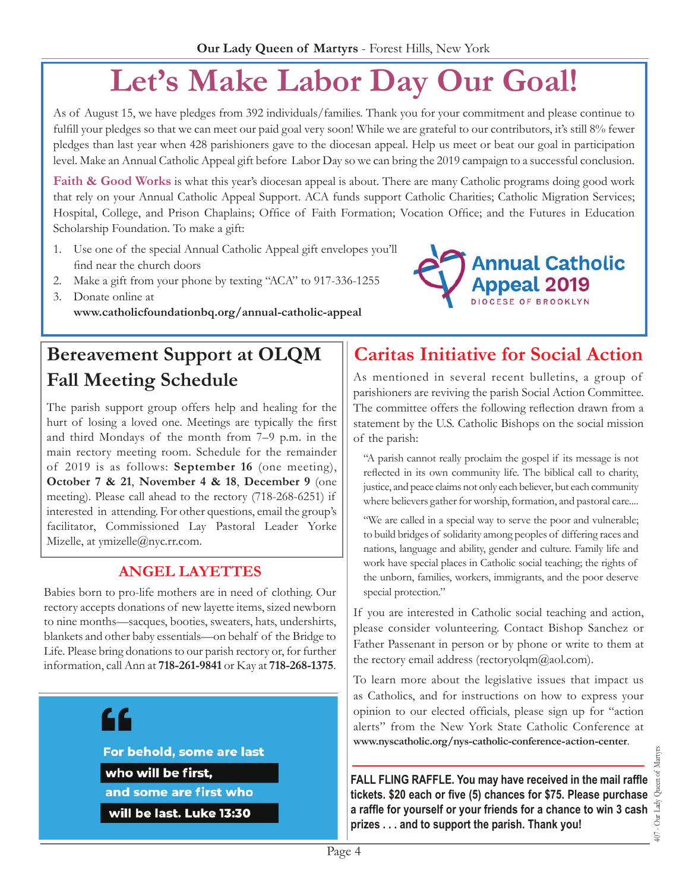# **Let's Make Labor Day Our Goal!**

As of August 15, we have pledges from 392 individuals/families. Thank you for your commitment and please continue to fulfill your pledges so that we can meet our paid goal very soon! While we are grateful to our contributors, it's still 8% fewer pledges than last year when 428 parishioners gave to the diocesan appeal. Help us meet or beat our goal in participation level. Make an Annual Catholic Appeal gift before Labor Day so we can bring the 2019 campaign to a successful conclusion.

**Faith & Good Works** is what this year's diocesan appeal is about. There are many Catholic programs doing good work that rely on your Annual Catholic Appeal Support. ACA funds support Catholic Charities; Catholic Migration Services; Hospital, College, and Prison Chaplains; Office of Faith Formation; Vocation Office; and the Futures in Education Scholarship Foundation. To make a gift:

- 1. Use one of the special Annual Catholic Appeal gift envelopes you'll find near the church doors
- 2. Make a gift from your phone by texting "ACA" to 917-336-1255
- 3. Donate online at **[www.catholicfoundationbq.org/annual-](www.catholicfoundationbq.org/annual)catholic-appeal**

# **Bereavement Support at OLQM Fall Meeting Schedule**

The parish support group offers help and healing for the hurt of losing a loved one. Meetings are typically the first and third Mondays of the month from 7–9 p.m. in the main rectory meeting room. Schedule for the remainder of 2019 is as follows: **September 16** (one meeting), **October 7 & 21**, **November 4 & 18**, **December 9** (one meeting). Please call ahead to the rectory (718-268-6251) if interested in attending. For other questions, email the group's facilitator, Commissioned Lay Pastoral Leader Yorke Mizelle, at [ymizelle@nyc.rr.com](mailto:ymizelle@nyc.rr.com).

### **Angel Layettes**

Babies born to pro-life mothers are in need of clothing. Our rectory accepts donations of new layette items, sized newborn to nine months—sacques, booties, sweaters, hats, undershirts, blankets and other baby essentials—on behalf of the Bridge to Life. Please bring donations to our parish rectory or, for further information, call Ann at **718-261-9841** or Kay at **718-268-1375**.

# 44

For behold, some are last who will be first, and some are first who

will be last. Luke 13:30

# **Caritas Initiative for Social Action**

As mentioned in several recent bulletins, a group of parishioners are reviving the parish Social Action Committee. The committee offers the following reflection drawn from a statement by the U.S. Catholic Bishops on the social mission of the parish:

"A parish cannot really proclaim the gospel if its message is not reflected in its own community life. The biblical call to charity, justice, and peace claims not only each believer, but each community where believers gather for worship, formation, and pastoral care....

"We are called in a special way to serve the poor and vulnerable; to build bridges of solidarity among peoples of differing races and nations, language and ability, gender and culture. Family life and work have special places in Catholic social teaching; the rights of the unborn, families, workers, immigrants, and the poor deserve special protection."

If you are interested in Catholic social teaching and action, please consider volunteering. Contact Bishop Sanchez or Father Passenant in person or by phone or write to them at the rectory email address (rectoryolqm $@$ aol.com).

To learn more about the legislative issues that impact us as Catholics, and for instructions on how to express your opinion to our elected officials, please sign up for "action alerts" from the New York State Catholic Conference at **[www.nyscatholic.org/nys-catholic-conference-action-center](https://www.nyscatholic.org/nys-catholic-conference-action-center/)**.

**Fall Fling Raffle. You may have received in the mail raffle tickets. \$20 each or five (5) chances for \$75. Please purchase a raffle for yourself or your friends for a chance to win 3 cash prizes . . . and to support the parish. Thank you!**

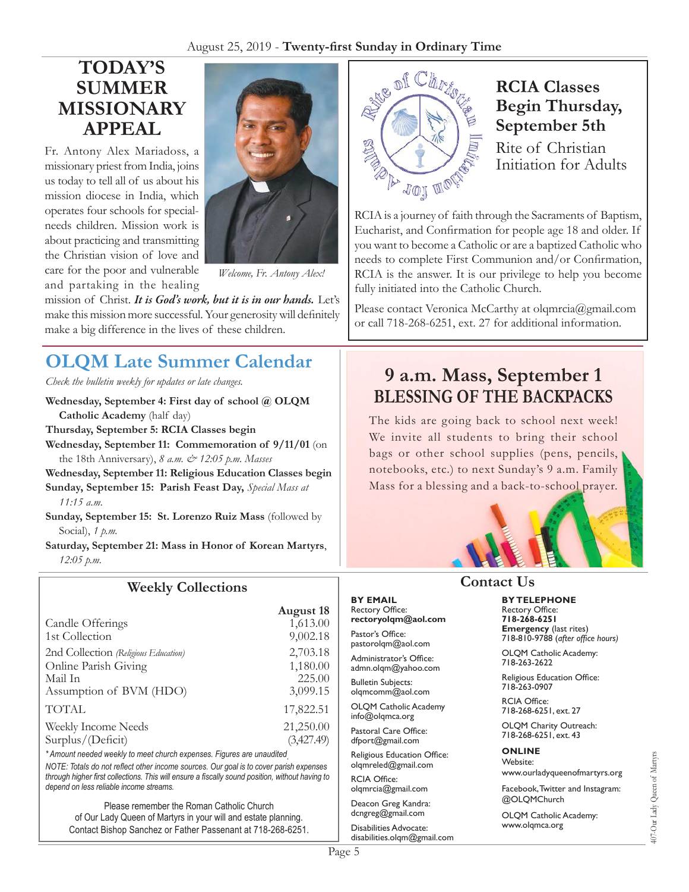#### August 25, 2019 - **Twenty-first Sunday in Ordinary Time**

# **TODAY's Summer Missionary Appeal**

Fr. Antony Alex Mariadoss, a missionary priest from India, joins us today to tell all of us about his mission diocese in India, which operates four schools for specialneeds children. Mission work is about practicing and transmitting the Christian vision of love and care for the poor and vulnerable and partaking in the healing



*Welcome, Fr. Antony Alex!*

mission of Christ. *It is God's work, but it is in our hands.* Let's make this mission more successful. Your generosity will definitely make a big difference in the lives of these children.

# **OLQM Late Summer Calendar**

*Check the bulletin weekly for updates or late changes.*

- **Wednesday, September 4: First day of school @ OLQM Catholic Academy** (half day)
- **Thursday, September 5: RCIA Classes begin**
- **Wednesday, September 11: Commemoration of 9/11/01** (on the 18th Anniversary), *8 a.m. & 12:05 p.m. Masses*
- **Wednesday, September 11: Religious Education Classes begin**
- **Sunday, September 15: Parish Feast Day,** *Special Mass at 11:15 a.m.*
- **Sunday, September 15: St. Lorenzo Ruiz Mass** (followed by Social), *1 p.m.*
- **Saturday, September 21: Mass in Honor of Korean Martyrs**, *12:05 p.m.*

#### **Weekly Collections**

|                                      | <b>August 18</b> |
|--------------------------------------|------------------|
| Candle Offerings                     | 1,613.00         |
| 1st Collection                       | 9,002.18         |
| 2nd Collection (Religious Education) | 2,703.18         |
| Online Parish Giving                 | 1,180.00         |
| Mail In                              | 225.00           |
| Assumption of BVM (HDO)              | 3,099.15         |
| <b>TOTAL</b>                         | 17,822.51        |
| Weekly Income Needs                  | 21,250.00        |
| Surplus/(Deficit)                    | (3,427.49)       |
|                                      |                  |

*\* Amount needed weekly to meet church expenses. Figures are unaudited. NOTE: Totals do not reflect other income sources. Our goal is to cover parish expenses through higher first collections. This will ensure a fiscally sound position, without having to depend on less reliable income streams.*

Please remember the Roman Catholic Church of Our Lady Queen of Martyrs in your will and estate planning. Contact Bishop Sanchez or Father Passenant at 718-268-6251.



# **RCIA Classes Begin Thursday, September 5th**

Rite of Christian Initiation for Adults

RCIA is a journey of faith through the Sacraments of Baptism, Eucharist, and Confirmation for people age 18 and older. If you want to become a Catholic or are a baptized Catholic who needs to complete First Communion and/or Confirmation, RCIA is the answer. It is our privilege to help you become fully initiated into the Catholic Church.

Please contact Veronica McCarthy at [olqmrcia@gmail.com](mailto:olqmrcia@gmail.com) or call 718-268-6251, ext. 27 for additional information.

# **9 a.m. Mass, September 1 BLESSING OF THE BACKPACKS**

The kids are going back to school next week! We invite all students to bring their school bags or other school supplies (pens, pencils, notebooks, etc.) to next Sunday's 9 a.m. Family Mass for a blessing and a back-to-school prayer.



**By Telephone** Rectory Office: **718-268-6251 Emergency** (last rites) 718-810-9788 (*after office hours)*

718-263-2622

718-263-0907 RCIA Office:

#### **Contact Us**

**By Email** Rectory Office: **rectoryolqm@aol.com**

Pastor's Office: pastorolqm@aol.com

Administrator's Office: admn.olqm@yahoo.com

Bulletin Subjects: olqmcomm@aol.com

OLQM Catholic Academy info@olqmca.org

Pastoral Care Office: dfport@gmail.com

Religious Education Office: olqmreled@gmail.com

RCIA Office: [olqmrcia@gmail.com](mailto:olqmrcia@gmail.com)

Deacon Greg Kandra: dcngreg@gmail.com

Disabilities Advocate: [disabilities.olqm@gmail.com](mailto:disabilities.olqm@gmail.com)

OLQM Catholic Academy: Religious Education Office: 718-268-6251, ext. 27

OLQM Charity Outreach: 718-268-6251, ext. 43

#### **Online**

Website: www.ourladyqueenofmartyrs.org

Facebook, Twitter and Instagram: @OLQMChurch

OLQM Catholic Academy: <www.olqmca.org>